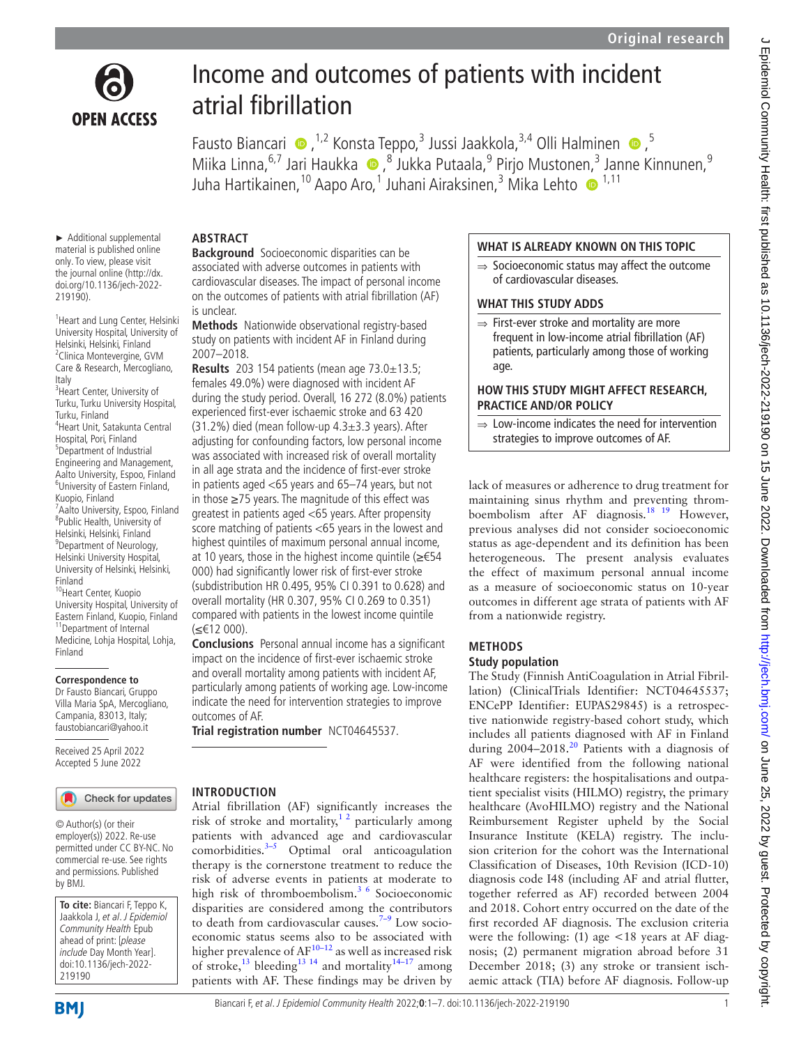

► Additional supplemental material is published online only. To view, please visit the journal online [\(http://dx.](http://dx.doi.org/10.1136/jech-2022-219190) [doi.org/10.1136/jech-2022-](http://dx.doi.org/10.1136/jech-2022-219190)

<sup>1</sup> Heart and Lung Center, Helsinki University Hospital, University of Helsinki, Helsinki, Finland <sup>2</sup> Clinica Montevergine, GVM Care & Research, Mercogliano,

<sup>3</sup> Heart Center, University of Turku, Turku University Hospital,

4 Heart Unit, Satakunta Central Hospital, Pori, Finland 5 Department of Industrial Engineering and Management, Aalto University, Espoo, Finland 6 University of Eastern Finland,

<sup>7</sup> Aalto University, Espoo, Finland 8 Public Health, University of Helsinki, Helsinki, Finland <sup>9</sup>Department of Neurology, Helsinki University Hospital, University of Helsinki, Helsinki,

[219190](http://dx.doi.org/10.1136/jech-2022-219190)).

Italy

Turku, Finland

Kuopio, Finland

Finland

Finland

# Income and outcomes of patients with incident atrial fibrillation

FaustoBiancari  $\bullet$ , <sup>1,2</sup> Konsta Teppo,<sup>3</sup> Jussi Jaakkola, <sup>3,4</sup> Olli Halminen  $\bullet$ , <sup>5</sup> Miika Linna,<sup>6,7</sup> Jari Haukka ®,<sup>8</sup> Jukka Putaala,<sup>9</sup> Pirjo Mustonen,<sup>3</sup> Janne Kinnunen,<sup>9</sup> Juha Hartikainen, <sup>10</sup> Aapo Aro, <sup>1</sup> Juhani Airaksinen, <sup>3</sup> Mika Lehto <sup>1,11</sup>

# **ABSTRACT**

**Background** Socioeconomic disparities can be associated with adverse outcomes in patients with cardiovascular diseases. The impact of personal income on the outcomes of patients with atrial fibrillation (AF) is unclear.

**Methods** Nationwide observational registry-based study on patients with incident AF in Finland during 2007–2018.

**Results** 203 154 patients (mean age 73.0±13.5; females 49.0%) were diagnosed with incident AF during the study period. Overall, 16 272 (8.0%) patients experienced first-ever ischaemic stroke and 63 420 (31.2%) died (mean follow-up 4.3±3.3 years). After adjusting for confounding factors, low personal income was associated with increased risk of overall mortality in all age strata and the incidence of first-ever stroke in patients aged <65 years and 65–74 years, but not in those ≥75 years. The magnitude of this effect was greatest in patients aged <65 years. After propensity score matching of patients <65 years in the lowest and highest quintiles of maximum personal annual income, at 10 years, those in the highest income quintile (≥€54 000) had significantly lower risk of first-ever stroke (subdistribution HR 0.495, 95% CI 0.391 to 0.628) and overall mortality (HR 0.307, 95% CI 0.269 to 0.351) compared with patients in the lowest income quintile (≤€12 000).

**Conclusions** Personal annual income has a significant impact on the incidence of first-ever ischaemic stroke and overall mortality among patients with incident AF, particularly among patients of working age. Low-income indicate the need for intervention strategies to improve outcomes of AF.

**Trial registration number** <NCT04645537>.

## **INTRODUCTION**

Atrial fibrillation (AF) significantly increases the risk of stroke and mortality,  $1^2$  particularly among patients with advanced age and cardiovascular  $\frac{3-5}{2}$  Optimal oral anticoagulation therapy is the cornerstone treatment to reduce the risk of adverse events in patients at moderate to high risk of thromboembolism.<sup>3 6</sup> Socioeconomic disparities are considered among the contributors to death from cardiovascular causes. $7-9$  Low socioeconomic status seems also to be associated with higher prevalence of  $AF^{10-12}$  as well as increased risk of stroke,<sup>13</sup> bleeding<sup>[13](#page-6-4) 14</sup> and mortality<sup>14–17</sup> among patients with AF. These findings may be driven by

## **WHAT IS ALREADY KNOWN ON THIS TOPIC**

⇒ Socioeconomic status may affect the outcome of cardiovascular diseases.

## **WHAT THIS STUDY ADDS**

 $\Rightarrow$  First-ever stroke and mortality are more frequent in low-income atrial fibrillation (AF) patients, particularly among those of working age.

## **HOW THIS STUDY MIGHT AFFECT RESEARCH, PRACTICE AND/OR POLICY**

 $\Rightarrow$  Low-income indicates the need for intervention strategies to improve outcomes of AF.

lack of measures or adherence to drug treatment for maintaining sinus rhythm and preventing thromboembolism after AF diagnosis.[18 19](#page-6-6) However, previous analyses did not consider socioeconomic status as age-dependent and its definition has been heterogeneous. The present analysis evaluates the effect of maximum personal annual income as a measure of socioeconomic status on 10-year outcomes in different age strata of patients with AF from a nationwide registry.

## **METHODS**

## **Study population**

The Study (Finnish AntiCoagulation in Atrial Fibrillation) (ClinicalTrials Identifier: NCT04645537; ENCePP Identifier: EUPAS29845) is a retrospective nationwide registry-based cohort study, which includes all patients diagnosed with AF in Finland during  $2004-2018.<sup>20</sup>$  Patients with a diagnosis of AF were identified from the following national healthcare registers: the hospitalisations and outpatient specialist visits (HILMO) registry, the primary healthcare (AvoHILMO) registry and the National Reimbursement Register upheld by the Social Insurance Institute (KELA) registry. The inclusion criterion for the cohort was the International Classification of Diseases, 10th Revision (ICD-10) diagnosis code I48 (including AF and atrial flutter, together referred as AF) recorded between 2004 and 2018. Cohort entry occurred on the date of the first recorded AF diagnosis. The exclusion criteria were the following: (1) age <18 years at AF diagnosis; (2) permanent migration abroad before 31 December 2018; (3) any stroke or transient ischaemic attack (TIA) before AF diagnosis. Follow-up

faustobiancari@yahoo.it Received 25 April 2022 Accepted 5 June 2022

**Correspondence to** Dr Fausto Biancari, Gruppo Villa Maria SpA, Mercogliano, Campania, 83013, Italy;

<sup>10</sup>Heart Center, Kuopio University Hospital, University of Eastern Finland, Kuopio, Finland 11Department of Internal Medicine, Lohja Hospital, Lohja,

## Check for updates

© Author(s) (or their employer(s)) 2022. Re-use permitted under CC BY-NC. No commercial re-use. See rights and permissions. Published by BMJ.

**To cite:** Biancari F, Teppo K, Jaakkola J, et al. J Epidemiol Community Health Epub ahead of print: [please include Day Month Year]. doi:10.1136/jech-2022- 219190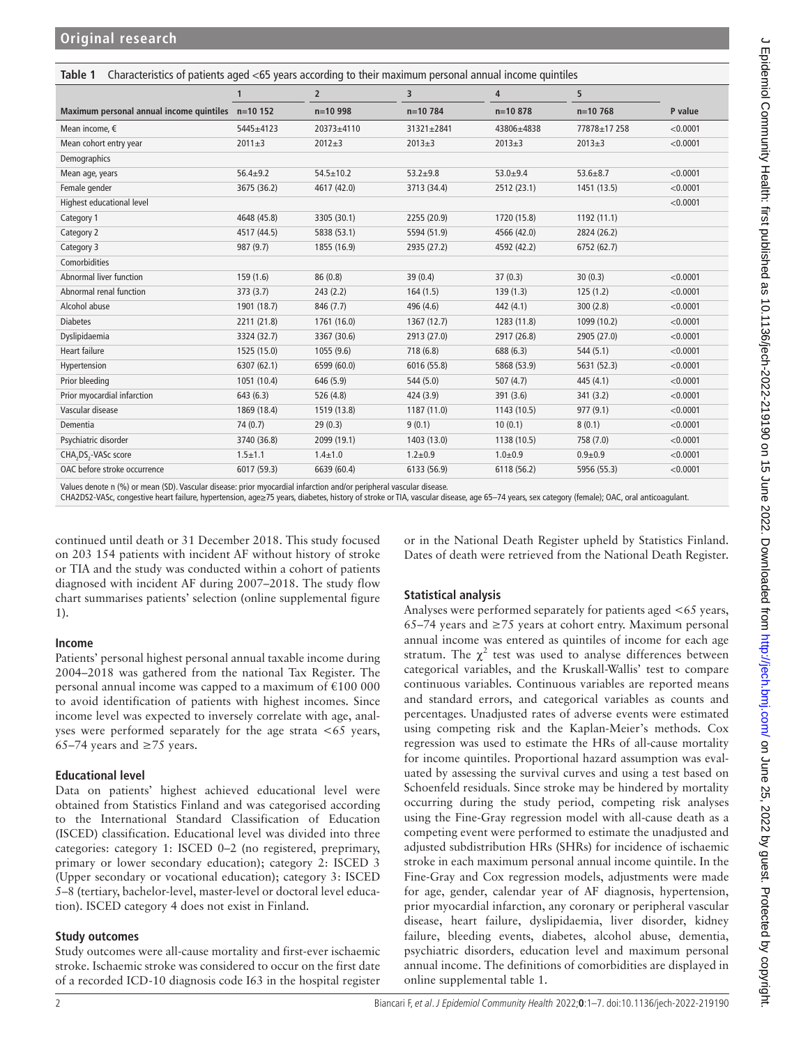<span id="page-1-0"></span>

| Characteristics of patients aged <65 years according to their maximum personal annual income quintiles<br>Table 1 |                 |                |              |              |          |  |  |
|-------------------------------------------------------------------------------------------------------------------|-----------------|----------------|--------------|--------------|----------|--|--|
|                                                                                                                   |                 |                |              |              |          |  |  |
| Maximum personal annual income quintiles n=10 152                                                                 | $n = 1098$      | $n = 10, 784$  | $n = 10.878$ | $n = 10,768$ | P value  |  |  |
| $5445 + 4123$                                                                                                     | $20373 + 4110$  | $31321 + 2841$ | 43806+4838   | 77878±17258  | < 0.0001 |  |  |
| $2011+3$                                                                                                          | $2012 + 3$      | $2013 + 3$     | $2013+3$     | $2013+3$     | < 0.0001 |  |  |
|                                                                                                                   |                 |                |              |              |          |  |  |
| $56.4 + 9.2$                                                                                                      | $54.5 \pm 10.2$ | $53.2 + 9.8$   | $53.0 + 9.4$ | $53.6 + 8.7$ | < 0.0001 |  |  |
|                                                                                                                   |                 |                |              |              |          |  |  |

| Highest educational level        |               |               |             |             |             | < 0.0001 |
|----------------------------------|---------------|---------------|-------------|-------------|-------------|----------|
| Category 1                       | 4648 (45.8)   | 3305 (30.1)   | 2255 (20.9) | 1720 (15.8) | 1192(11.1)  |          |
| Category 2                       | 4517 (44.5)   | 5838 (53.1)   | 5594 (51.9) | 4566 (42.0) | 2824 (26.2) |          |
| Category 3                       | 987 (9.7)     | 1855 (16.9)   | 2935 (27.2) | 4592 (42.2) | 6752 (62.7) |          |
| Comorbidities                    |               |               |             |             |             |          |
| Abnormal liver function          | 159(1.6)      | 86(0.8)       | 39(0.4)     | 37(0.3)     | 30(0.3)     | < 0.0001 |
| Abnormal renal function          | 373(3.7)      | 243(2.2)      | 164(1.5)    | 139(1.3)    | 125(1.2)    | < 0.0001 |
| Alcohol abuse                    | 1901 (18.7)   | 846 (7.7)     | 496 (4.6)   | 442 (4.1)   | 300(2.8)    | < 0.0001 |
| <b>Diabetes</b>                  | 2211 (21.8)   | 1761 (16.0)   | 1367 (12.7) | 1283 (11.8) | 1099 (10.2) | < 0.0001 |
| Dyslipidaemia                    | 3324 (32.7)   | 3367 (30.6)   | 2913 (27.0) | 2917 (26.8) | 2905 (27.0) | < 0.0001 |
| Heart failure                    | 1525 (15.0)   | 1055 (9.6)    | 718 (6.8)   | 688 (6.3)   | 544 (5.1)   | < 0.0001 |
| Hypertension                     | 6307 (62.1)   | 6599 (60.0)   | 6016 (55.8) | 5868 (53.9) | 5631 (52.3) | < 0.0001 |
| Prior bleeding                   | 1051 (10.4)   | 646 (5.9)     | 544 (5.0)   | 507 (4.7)   | 445 (4.1)   | < 0.0001 |
| Prior myocardial infarction      | 643 (6.3)     | 526 (4.8)     | 424 (3.9)   | 391 (3.6)   | 341(3.2)    | < 0.0001 |
| Vascular disease                 | 1869 (18.4)   | 1519 (13.8)   | 1187(11.0)  | 1143(10.5)  | 977 (9.1)   | < 0.0001 |
| Dementia                         | 74 (0.7)      | 29(0.3)       | 9(0.1)      | 10(0.1)     | 8(0.1)      | < 0.0001 |
| Psychiatric disorder             | 3740 (36.8)   | 2099 (19.1)   | 1403 (13.0) | 1138(10.5)  | 758 (7.0)   | < 0.0001 |
| CHA, DS <sub>2</sub> -VASc score | $1.5 \pm 1.1$ | $1.4 \pm 1.0$ | $1.2 + 0.9$ | $1.0 + 0.9$ | $0.9 + 0.9$ | < 0.0001 |
| OAC before stroke occurrence     | 6017 (59.3)   | 6639 (60.4)   | 6133 (56.9) | 6118 (56.2) | 5956 (55.3) | < 0.0001 |

Female gender 3675 (36.2) 4617 (42.0) 3713 (34.4) 2512 (23.1) 1451 (13.5) <0.0001

Values denote n (%) or mean (SD). Vascular disease: prior myocardial infarction and/or peripheral vascular disease.

CHA2DS2-VASc, congestive heart failure, hypertension, age≥75 years, diabetes, history of stroke or TIA, vascular disease, age 65–74 years, sex category (female); OAC, oral anticoagulant.

continued until death or 31 December 2018. This study focused on 203 154 patients with incident AF without history of stroke or TIA and the study was conducted within a cohort of patients diagnosed with incident AF during 2007–2018. The study flow chart summarises patients' selection [\(online supplemental figure](https://dx.doi.org/10.1136/jech-2022-219190)  [1](https://dx.doi.org/10.1136/jech-2022-219190)).

## **Income**

Patients' personal highest personal annual taxable income during 2004–2018 was gathered from the national Tax Register. The personal annual income was capped to a maximum of €100 000 to avoid identification of patients with highest incomes. Since income level was expected to inversely correlate with age, analyses were performed separately for the age strata <65 years, 65–74 years and ≥75 years.

## **Educational level**

Data on patients' highest achieved educational level were obtained from Statistics Finland and was categorised according to the International Standard Classification of Education (ISCED) classification. Educational level was divided into three categories: category 1: ISCED 0–2 (no registered, preprimary, primary or lower secondary education); category 2: ISCED 3 (Upper secondary or vocational education); category 3: ISCED 5–8 (tertiary, bachelor-level, master-level or doctoral level education). ISCED category 4 does not exist in Finland.

# **Study outcomes**

Study outcomes were all-cause mortality and first-ever ischaemic stroke. Ischaemic stroke was considered to occur on the first date of a recorded ICD-10 diagnosis code I63 in the hospital register

or in the National Death Register upheld by Statistics Finland. Dates of death were retrieved from the National Death Register.

# **Statistical analysis**

Analyses were performed separately for patients aged <65 years, 65–74 years and ≥75 years at cohort entry. Maximum personal annual income was entered as quintiles of income for each age stratum. The  $\chi^2$  test was used to analyse differences between categorical variables, and the Kruskall-Wallis' test to compare continuous variables. Continuous variables are reported means and standard errors, and categorical variables as counts and percentages. Unadjusted rates of adverse events were estimated using competing risk and the Kaplan-Meier's methods. Cox regression was used to estimate the HRs of all-cause mortality for income quintiles. Proportional hazard assumption was evaluated by assessing the survival curves and using a test based on Schoenfeld residuals. Since stroke may be hindered by mortality occurring during the study period, competing risk analyses using the Fine-Gray regression model with all-cause death as a competing event were performed to estimate the unadjusted and adjusted subdistribution HRs (SHRs) for incidence of ischaemic stroke in each maximum personal annual income quintile. In the Fine-Gray and Cox regression models, adjustments were made for age, gender, calendar year of AF diagnosis, hypertension, prior myocardial infarction, any coronary or peripheral vascular disease, heart failure, dyslipidaemia, liver disorder, kidney failure, bleeding events, diabetes, alcohol abuse, dementia, psychiatric disorders, education level and maximum personal annual income. The definitions of comorbidities are displayed in [online supplemental table 1](https://dx.doi.org/10.1136/jech-2022-219190).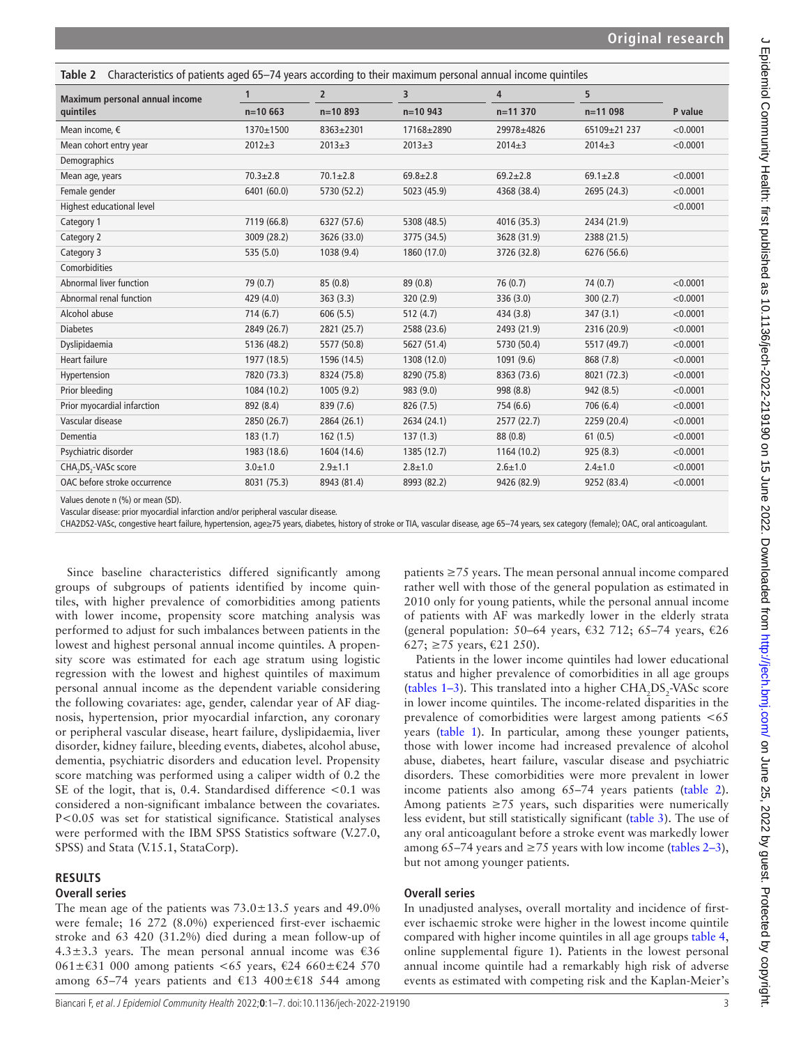<span id="page-2-0"></span>

| Table 2 Characteristics of patients aged 65–74 years according to their maximum personal annual income quintiles |                |                |                |                |                |          |  |
|------------------------------------------------------------------------------------------------------------------|----------------|----------------|----------------|----------------|----------------|----------|--|
| Maximum personal annual income                                                                                   | 1              | $\overline{2}$ | 3              | $\overline{4}$ | 5              |          |  |
| quintiles                                                                                                        | $n=10663$      | $n=10893$      | $n = 10943$    | $n=11370$      | $n = 11098$    | P value  |  |
| Mean income, $\epsilon$                                                                                          | 1370±1500      | 8363±2301      | 17168±2890     | 29978±4826     | 65109±21 237   | < 0.0001 |  |
| Mean cohort entry year                                                                                           | $2012 \pm 3$   | $2013 \pm 3$   | $2013 \pm 3$   | $2014 \pm 3$   | $2014 \pm 3$   | < 0.0001 |  |
| Demographics                                                                                                     |                |                |                |                |                |          |  |
| Mean age, years                                                                                                  | $70.3 \pm 2.8$ | $70.1 \pm 2.8$ | $69.8 \pm 2.8$ | $69.2 \pm 2.8$ | $69.1 \pm 2.8$ | < 0.0001 |  |
| Female gender                                                                                                    | 6401 (60.0)    | 5730 (52.2)    | 5023 (45.9)    | 4368 (38.4)    | 2695 (24.3)    | < 0.0001 |  |
| Highest educational level                                                                                        |                |                |                |                |                | < 0.0001 |  |
| Category 1                                                                                                       | 7119 (66.8)    | 6327 (57.6)    | 5308 (48.5)    | 4016 (35.3)    | 2434 (21.9)    |          |  |
| Category 2                                                                                                       | 3009 (28.2)    | 3626 (33.0)    | 3775 (34.5)    | 3628 (31.9)    | 2388 (21.5)    |          |  |
| Category 3                                                                                                       | 535(5.0)       | 1038 (9.4)     | 1860 (17.0)    | 3726 (32.8)    | 6276 (56.6)    |          |  |
| Comorbidities                                                                                                    |                |                |                |                |                |          |  |
| Abnormal liver function                                                                                          | 79 (0.7)       | 85(0.8)        | 89(0.8)        | 76 (0.7)       | 74 (0.7)       | < 0.0001 |  |
| Abnormal renal function                                                                                          | 429 (4.0)      | 363(3.3)       | 320(2.9)       | 336(3.0)       | 300(2.7)       | < 0.0001 |  |
| Alcohol abuse                                                                                                    | 714(6.7)       | 606(5.5)       | 512(4.7)       | 434 (3.8)      | 347(3.1)       | < 0.0001 |  |
| <b>Diabetes</b>                                                                                                  | 2849 (26.7)    | 2821 (25.7)    | 2588 (23.6)    | 2493 (21.9)    | 2316 (20.9)    | < 0.0001 |  |
| Dyslipidaemia                                                                                                    | 5136 (48.2)    | 5577 (50.8)    | 5627 (51.4)    | 5730 (50.4)    | 5517 (49.7)    | < 0.0001 |  |
| <b>Heart failure</b>                                                                                             | 1977 (18.5)    | 1596 (14.5)    | 1308 (12.0)    | 1091(9.6)      | 868 (7.8)      | < 0.0001 |  |
| Hypertension                                                                                                     | 7820 (73.3)    | 8324 (75.8)    | 8290 (75.8)    | 8363 (73.6)    | 8021 (72.3)    | < 0.0001 |  |
| Prior bleeding                                                                                                   | 1084 (10.2)    | 1005(9.2)      | 983 (9.0)      | 998 (8.8)      | 942 (8.5)      | < 0.0001 |  |
| Prior myocardial infarction                                                                                      | 892 (8.4)      | 839 (7.6)      | 826 (7.5)      | 754 (6.6)      | 706 (6.4)      | < 0.0001 |  |
| Vascular disease                                                                                                 | 2850 (26.7)    | 2864 (26.1)    | 2634 (24.1)    | 2577(22.7)     | 2259 (20.4)    | < 0.0001 |  |
| Dementia                                                                                                         | 183(1.7)       | 162(1.5)       | 137(1.3)       | 88(0.8)        | 61(0.5)        | < 0.0001 |  |
| Psychiatric disorder                                                                                             | 1983 (18.6)    | 1604 (14.6)    | 1385 (12.7)    | 1164 (10.2)    | 925(8.3)       | < 0.0001 |  |
| CHA <sub>2</sub> DS <sub>2</sub> -VASc score                                                                     | $3.0 + 1.0$    | $2.9 + 1.1$    | $2.8 + 1.0$    | $2.6 \pm 1.0$  | $2.4 \pm 1.0$  | < 0.0001 |  |
| OAC before stroke occurrence                                                                                     | 8031 (75.3)    | 8943 (81.4)    | 8993 (82.2)    | 9426 (82.9)    | 9252 (83.4)    | < 0.0001 |  |

Values denote n (%) or mean (SD).

Vascular disease: prior myocardial infarction and/or peripheral vascular disease.

CHA2DS2-VASc, congestive heart failure, hypertension, age≥75 years, diabetes, history of stroke or TIA, vascular disease, age 65–74 years, sex category (female); OAC, oral anticoagulant.

Since baseline characteristics differed significantly among groups of subgroups of patients identified by income quintiles, with higher prevalence of comorbidities among patients with lower income, propensity score matching analysis was performed to adjust for such imbalances between patients in the lowest and highest personal annual income quintiles. A propensity score was estimated for each age stratum using logistic regression with the lowest and highest quintiles of maximum personal annual income as the dependent variable considering the following covariates: age, gender, calendar year of AF diagnosis, hypertension, prior myocardial infarction, any coronary or peripheral vascular disease, heart failure, dyslipidaemia, liver disorder, kidney failure, bleeding events, diabetes, alcohol abuse, dementia, psychiatric disorders and education level. Propensity score matching was performed using a caliper width of 0.2 the SE of the logit, that is, 0.4. Standardised difference <0.1 was considered a non-significant imbalance between the covariates. P<0.05 was set for statistical significance. Statistical analyses were performed with the IBM SPSS Statistics software (V.27.0, SPSS) and Stata (V.15.1, StataCorp).

## **RESULTS**

## **Overall series**

The mean age of the patients was  $73.0 \pm 13.5$  years and 49.0% were female; 16 272 (8.0%) experienced first-ever ischaemic stroke and 63 420 (31.2%) died during a mean follow-up of  $4.3 \pm 3.3$  years. The mean personal annual income was  $\epsilon$ 36 061±€31 000 among patients <65 years, €24 660±€24 570 among 65–74 years patients and €13 400 $\pm$ €18 544 among

patients ≥75 years. The mean personal annual income compared rather well with those of the general population as estimated in 2010 only for young patients, while the personal annual income of patients with AF was markedly lower in the elderly strata (general population: 50–64 years,  $632$  712; 65–74 years,  $626$ 627;  $\geq$  75 years,  $\in$  21 250).

Patients in the lower income quintiles had lower educational status and higher prevalence of comorbidities in all age groups ([tables](#page-1-0) 1–3). This translated into a higher  $\text{CHA}_{2}\text{DS}_{2}\text{-}\text{VASc score}$ in lower income quintiles. The income-related disparities in the prevalence of comorbidities were largest among patients <65 years [\(table](#page-1-0) 1). In particular, among these younger patients, those with lower income had increased prevalence of alcohol abuse, diabetes, heart failure, vascular disease and psychiatric disorders. These comorbidities were more prevalent in lower income patients also among 65–74 years patients [\(table](#page-2-0) 2). Among patients  $\geq$ 75 years, such disparities were numerically less evident, but still statistically significant ([table](#page-3-0) 3). The use of any oral anticoagulant before a stroke event was markedly lower among 65–74 years and  $\geq$  75 years with low income ([tables](#page-2-0) 2–3), but not among younger patients.

# **Overall series**

In unadjusted analyses, overall mortality and incidence of firstever ischaemic stroke were higher in the lowest income quintile compared with higher income quintiles in all age groups [table](#page-4-0) 4, [online supplemental figure 1](https://dx.doi.org/10.1136/jech-2022-219190)). Patients in the lowest personal annual income quintile had a remarkably high risk of adverse events as estimated with competing risk and the Kaplan-Meier's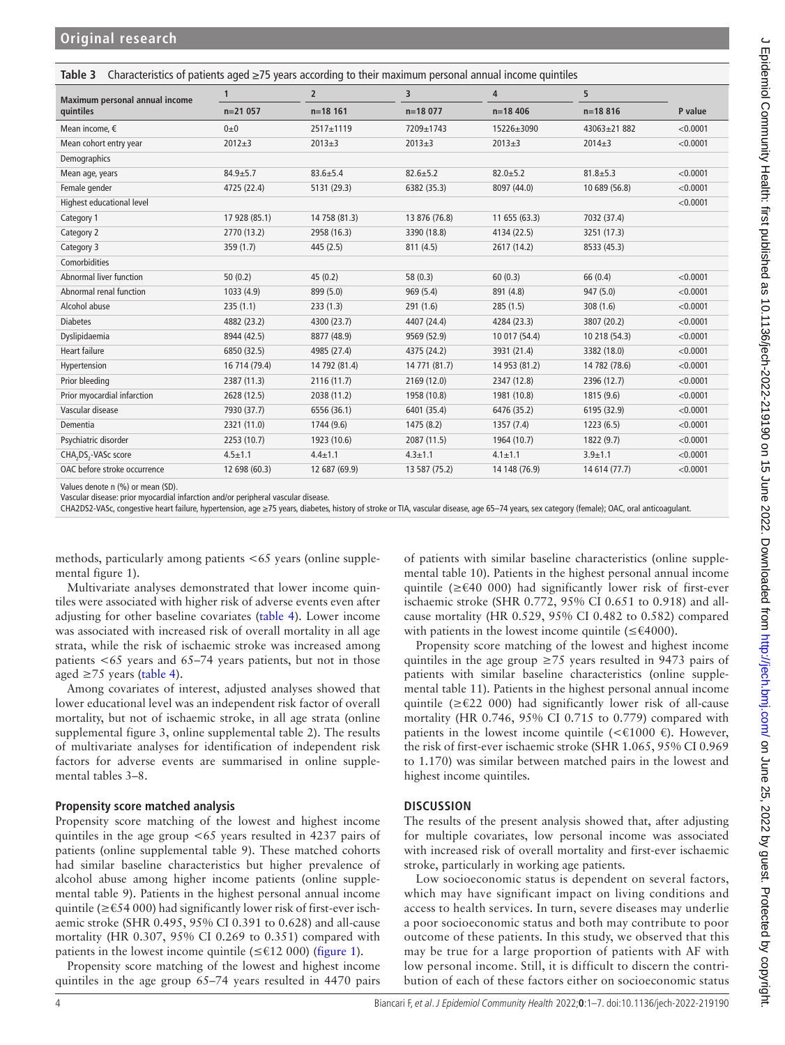<span id="page-3-0"></span>

| Table 3 Characteristics of patients aged $\geq$ 75 years according to their maximum personal annual income quintiles |  |
|----------------------------------------------------------------------------------------------------------------------|--|
|                                                                                                                      |  |

| Maximum personal annual income<br>quintiles | 1              | $\overline{2}$ | 3              | $\overline{4}$ | 5              |          |
|---------------------------------------------|----------------|----------------|----------------|----------------|----------------|----------|
|                                             | $n=21057$      | $n=18$ 161     | $n=18077$      | $n = 18406$    | $n = 18816$    | P value  |
| Mean income, €                              | $0+0$          | 2517±1119      | 7209±1743      | 15226±3090     | 43063±21882    | < 0.0001 |
| Mean cohort entry year                      | $2012 \pm 3$   | $2013 \pm 3$   | $2013 \pm 3$   | $2013 \pm 3$   | $2014 \pm 3$   | < 0.0001 |
| Demographics                                |                |                |                |                |                |          |
| Mean age, years                             | $84.9 \pm 5.7$ | $83.6 \pm 5.4$ | $82.6 \pm 5.2$ | $82.0 \pm 5.2$ | $81.8 \pm 5.3$ | < 0.0001 |
| Female gender                               | 4725 (22.4)    | 5131 (29.3)    | 6382 (35.3)    | 8097 (44.0)    | 10 689 (56.8)  | < 0.0001 |
| Highest educational level                   |                |                |                |                |                | < 0.0001 |
| Category 1                                  | 17 928 (85.1)  | 14 758 (81.3)  | 13 876 (76.8)  | 11 655 (63.3)  | 7032 (37.4)    |          |
| Category 2                                  | 2770 (13.2)    | 2958 (16.3)    | 3390 (18.8)    | 4134 (22.5)    | 3251 (17.3)    |          |
| Category 3                                  | 359(1.7)       | 445(2.5)       | 811 (4.5)      | 2617 (14.2)    | 8533 (45.3)    |          |
| Comorbidities                               |                |                |                |                |                |          |
| Abnormal liver function                     | 50(0.2)        | 45(0.2)        | 58(0.3)        | 60(0.3)        | 66 (0.4)       | < 0.0001 |
| Abnormal renal function                     | 1033 (4.9)     | 899 (5.0)      | 969 (5.4)      | 891 (4.8)      | 947 (5.0)      | < 0.0001 |
| Alcohol abuse                               | 235(1.1)       | 233(1.3)       | 291(1.6)       | 285(1.5)       | 308(1.6)       | < 0.0001 |
| <b>Diabetes</b>                             | 4882 (23.2)    | 4300 (23.7)    | 4407 (24.4)    | 4284 (23.3)    | 3807 (20.2)    | < 0.0001 |
| Dyslipidaemia                               | 8944 (42.5)    | 8877 (48.9)    | 9569 (52.9)    | 10 017 (54.4)  | 10 218 (54.3)  | < 0.0001 |
| Heart failure                               | 6850 (32.5)    | 4985 (27.4)    | 4375 (24.2)    | 3931 (21.4)    | 3382 (18.0)    | < 0.0001 |
| Hypertension                                | 16 714 (79.4)  | 14 792 (81.4)  | 14 771 (81.7)  | 14 953 (81.2)  | 14 782 (78.6)  | < 0.0001 |
| Prior bleeding                              | 2387 (11.3)    | 2116 (11.7)    | 2169 (12.0)    | 2347 (12.8)    | 2396 (12.7)    | < 0.0001 |
| Prior myocardial infarction                 | 2628 (12.5)    | 2038 (11.2)    | 1958 (10.8)    | 1981 (10.8)    | 1815 (9.6)     | < 0.0001 |
| Vascular disease                            | 7930 (37.7)    | 6556 (36.1)    | 6401 (35.4)    | 6476 (35.2)    | 6195 (32.9)    | < 0.0001 |
| Dementia                                    | 2321 (11.0)    | 1744 (9.6)     | 1475 (8.2)     | 1357 (7.4)     | 1223(6.5)      | < 0.0001 |
| Psychiatric disorder                        | 2253 (10.7)    | 1923 (10.6)    | 2087 (11.5)    | 1964 (10.7)    | 1822 (9.7)     | < 0.0001 |
| CHA, DS <sub>2</sub> -VASc score            | $4.5 \pm 1.1$  | $4.4 \pm 1.1$  | $4.3 \pm 1.1$  | $4.1 \pm 1.1$  | $3.9 + 1.1$    | < 0.0001 |
| OAC before stroke occurrence                | 12 698 (60.3)  | 12 687 (69.9)  | 13 587 (75.2)  | 14 148 (76.9)  | 14 614 (77.7)  | < 0.0001 |

Values denote n (%) or mean (SD).

Vascular disease: prior myocardial infarction and/or peripheral vascular disease.

CHA2DS2-VASc, congestive heart failure, hypertension, age ≥75 years, diabetes, history of stroke or TIA, vascular disease, age 65–74 years, sex category (female); OAC, oral anticoagulant.

methods, particularly among patients <65 years ([online supple](https://dx.doi.org/10.1136/jech-2022-219190)[mental figure 1\)](https://dx.doi.org/10.1136/jech-2022-219190).

Multivariate analyses demonstrated that lower income quintiles were associated with higher risk of adverse events even after adjusting for other baseline covariates ([table](#page-4-0) 4). Lower income was associated with increased risk of overall mortality in all age strata, while the risk of ischaemic stroke was increased among patients <65 years and 65–74 years patients, but not in those aged ≥75 years ([table](#page-4-0) 4).

Among covariates of interest, adjusted analyses showed that lower educational level was an independent risk factor of overall mortality, but not of ischaemic stroke, in all age strata [\(online](https://dx.doi.org/10.1136/jech-2022-219190)  [supplemental figure 3,](https://dx.doi.org/10.1136/jech-2022-219190) [online supplemental table 2\)](https://dx.doi.org/10.1136/jech-2022-219190). The results of multivariate analyses for identification of independent risk factors for adverse events are summarised in [online supple](https://dx.doi.org/10.1136/jech-2022-219190)[mental tables 3–8.](https://dx.doi.org/10.1136/jech-2022-219190)

## **Propensity score matched analysis**

Propensity score matching of the lowest and highest income quintiles in the age group <65 years resulted in 4237 pairs of patients ([online supplemental table 9](https://dx.doi.org/10.1136/jech-2022-219190)). These matched cohorts had similar baseline characteristics but higher prevalence of alcohol abuse among higher income patients ([online supple](https://dx.doi.org/10.1136/jech-2022-219190)[mental table 9](https://dx.doi.org/10.1136/jech-2022-219190)). Patients in the highest personal annual income quintile (≥€54 000) had significantly lower risk of first-ever ischaemic stroke (SHR 0.495, 95% CI 0.391 to 0.628) and all-cause mortality (HR 0.307, 95% CI 0.269 to 0.351) compared with patients in the lowest income quintile ( $\leq \text{\textsterling}12 000$ ) ([figure](#page-5-0) 1).

Propensity score matching of the lowest and highest income quintiles in the age group 65–74 years resulted in 4470 pairs of patients with similar baseline characteristics ([online supple](https://dx.doi.org/10.1136/jech-2022-219190)[mental table 10\)](https://dx.doi.org/10.1136/jech-2022-219190). Patients in the highest personal annual income quintile ( $\geq \epsilon$ 40 000) had significantly lower risk of first-ever ischaemic stroke (SHR 0.772, 95% CI 0.651 to 0.918) and allcause mortality (HR 0.529, 95% CI 0.482 to 0.582) compared with patients in the lowest income quintile ( $\leq \epsilon$ 4000).

Propensity score matching of the lowest and highest income quintiles in the age group  $\geq$ 75 years resulted in 9473 pairs of patients with similar baseline characteristics ([online supple](https://dx.doi.org/10.1136/jech-2022-219190)[mental table 11\)](https://dx.doi.org/10.1136/jech-2022-219190). Patients in the highest personal annual income quintile (≥€22 000) had significantly lower risk of all-cause mortality (HR 0.746, 95% CI 0.715 to 0.779) compared with patients in the lowest income quintile (< $€1000$  €). However, the risk of first-ever ischaemic stroke (SHR 1.065, 95% CI 0.969 to 1.170) was similar between matched pairs in the lowest and highest income quintiles.

# **DISCUSSION**

The results of the present analysis showed that, after adjusting for multiple covariates, low personal income was associated with increased risk of overall mortality and first-ever ischaemic stroke, particularly in working age patients.

Low socioeconomic status is dependent on several factors, which may have significant impact on living conditions and access to health services. In turn, severe diseases may underlie a poor socioeconomic status and both may contribute to poor outcome of these patients. In this study, we observed that this may be true for a large proportion of patients with AF with low personal income. Still, it is difficult to discern the contribution of each of these factors either on socioeconomic status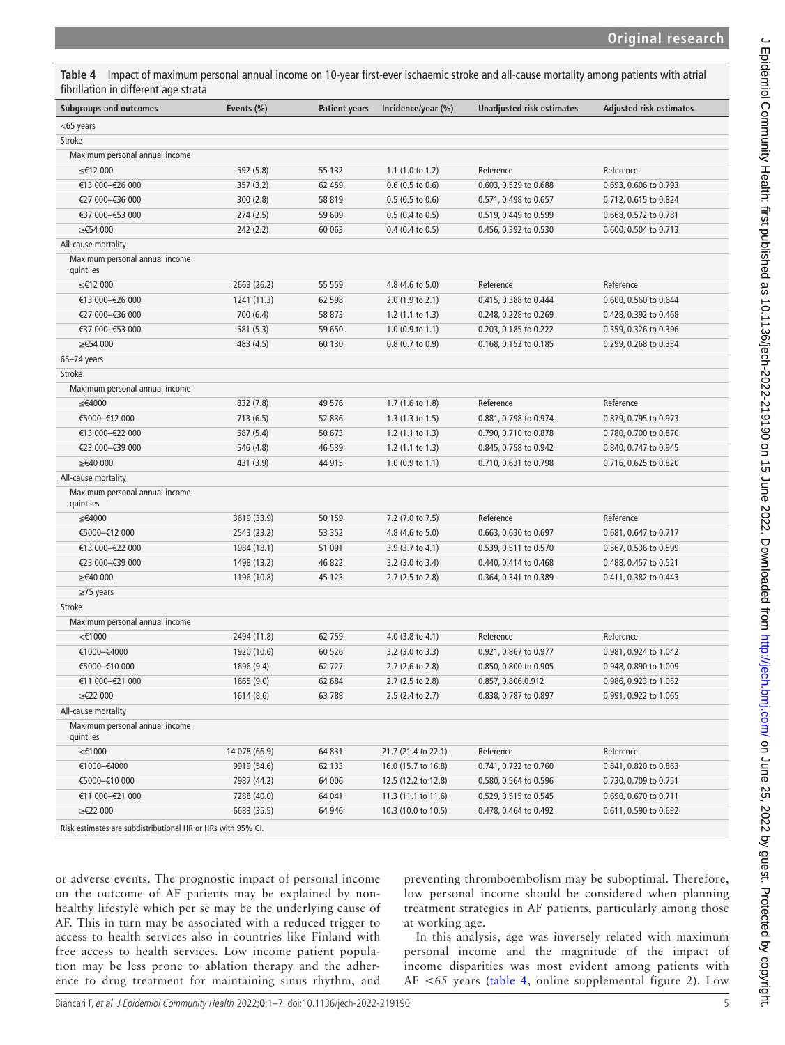<span id="page-4-0"></span>**Table 4** Impact of maximum personal annual income on 10-year first-ever ischaemic stroke and all-cause mortality among patients with atrial fibrillation in different age strata

| <b>Subgroups and outcomes</b>               | Events (%)    | <b>Patient years</b> | Incidence/year (%)          | <b>Unadjusted risk estimates</b> | <b>Adjusted risk estimates</b> |
|---------------------------------------------|---------------|----------------------|-----------------------------|----------------------------------|--------------------------------|
| <65 years                                   |               |                      |                             |                                  |                                |
| Stroke                                      |               |                      |                             |                                  |                                |
| Maximum personal annual income              |               |                      |                             |                                  |                                |
| ≤€12 000                                    | 592 (5.8)     | 55 132               | 1.1 $(1.0 \text{ to } 1.2)$ | Reference                        | Reference                      |
| €13 000-€26 000                             | 357 (3.2)     | 62 459               | 0.6 (0.5 to 0.6)            | 0.603, 0.529 to 0.688            | 0.693, 0.606 to 0.793          |
| €27 000-€36 000                             | 300(2.8)      | 58 819               | $0.5$ (0.5 to 0.6)          | 0.571, 0.498 to 0.657            | 0.712, 0.615 to 0.824          |
| €37 000-€53 000                             | 274 (2.5)     | 59 609               | $0.5$ (0.4 to 0.5)          | 0.519, 0.449 to 0.599            | 0.668, 0.572 to 0.781          |
| ≥€54 000                                    | 242 (2.2)     | 60 063               | $0.4$ (0.4 to 0.5)          | 0.456, 0.392 to 0.530            | 0.600, 0.504 to 0.713          |
| All-cause mortality                         |               |                      |                             |                                  |                                |
| Maximum personal annual income<br>quintiles |               |                      |                             |                                  |                                |
| ≤€12 000                                    | 2663 (26.2)   | 55 559               | 4.8 (4.6 to 5.0)            | Reference                        | Reference                      |
| €13 000-€26 000                             | 1241(11.3)    | 62 598               | 2.0 (1.9 to 2.1)            | 0.415, 0.388 to 0.444            | 0.600, 0.560 to 0.644          |
| €27 000-€36 000                             | 700 (6.4)     | 58 873               | $1.2$ (1.1 to 1.3)          | 0.248, 0.228 to 0.269            | 0.428, 0.392 to 0.468          |
| €37 000-€53 000                             | 581 (5.3)     | 59 650               | 1.0 $(0.9 \text{ to } 1.1)$ | 0.203, 0.185 to 0.222            | 0.359, 0.326 to 0.396          |
| ≥€54 000                                    | 483 (4.5)     | 60 130               | $0.8$ (0.7 to 0.9)          | 0.168, 0.152 to 0.185            | 0.299, 0.268 to 0.334          |
| $65 - 74$ years                             |               |                      |                             |                                  |                                |
| Stroke                                      |               |                      |                             |                                  |                                |
| Maximum personal annual income              |               |                      |                             |                                  |                                |
| ≤€4000                                      | 832 (7.8)     | 49 576               | $1.7(1.6 \text{ to } 1.8)$  | Reference                        | Reference                      |
| €5000-€12 000                               | 713 (6.5)     | 52 836               | 1.3 (1.3 to 1.5)            | 0.881, 0.798 to 0.974            | 0.879, 0.795 to 0.973          |
| €13 000-€22 000                             | 587 (5.4)     | 50 673               | $1.2$ (1.1 to 1.3)          | 0.790, 0.710 to 0.878            | 0.780, 0.700 to 0.870          |
| €23 000-€39 000                             | 546 (4.8)     | 46 539               | $1.2$ (1.1 to 1.3)          | 0.845, 0.758 to 0.942            | 0.840, 0.747 to 0.945          |
| ≥€40 000                                    | 431 (3.9)     | 44 915               | $1.0$ (0.9 to 1.1)          | 0.710, 0.631 to 0.798            | 0.716, 0.625 to 0.820          |
| All-cause mortality                         |               |                      |                             |                                  |                                |
| Maximum personal annual income<br>quintiles |               |                      |                             |                                  |                                |
| ≤€4000                                      | 3619 (33.9)   | 50 159               | 7.2 (7.0 to 7.5)            | Reference                        | Reference                      |
| €5000-€12 000                               | 2543 (23.2)   | 53 3 52              | 4.8 (4.6 to 5.0)            | 0.663, 0.630 to 0.697            | 0.681, 0.647 to 0.717          |
| €13 000-€22 000                             | 1984 (18.1)   | 51 091               | 3.9 (3.7 to 4.1)            | 0.539, 0.511 to 0.570            | 0.567, 0.536 to 0.599          |
| €23 000-€39 000                             | 1498 (13.2)   | 46 822               | 3.2 (3.0 to 3.4)            | 0.440, 0.414 to 0.468            | 0.488, 0.457 to 0.521          |
| ≥€40 000                                    | 1196 (10.8)   | 45 123               | $2.7$ (2.5 to 2.8)          | 0.364, 0.341 to 0.389            | 0.411, 0.382 to 0.443          |
| $\geq$ 75 years                             |               |                      |                             |                                  |                                |
| <b>Stroke</b>                               |               |                      |                             |                                  |                                |
| Maximum personal annual income              |               |                      |                             |                                  |                                |
| $<$ €1000                                   | 2494 (11.8)   | 62 759               | 4.0 (3.8 to 4.1)            | Reference                        | Reference                      |
| €1000-€4000                                 | 1920 (10.6)   | 60 526               | $3.2$ (3.0 to 3.3)          | 0.921, 0.867 to 0.977            | 0.981, 0.924 to 1.042          |
| €5000-€10 000                               | 1696 (9.4)    | 62727                | 2.7 (2.6 to 2.8)            | 0.850, 0.800 to 0.905            | 0.948, 0.890 to 1.009          |
| €11 000-€21 000                             | 1665 (9.0)    | 62 684               | 2.7 (2.5 to 2.8)            | 0.857, 0.806.0.912               | 0.986, 0.923 to 1.052          |
| ≥€22 000                                    | 1614(8.6)     | 63 788               | $2.5$ (2.4 to 2.7)          | 0.838, 0.787 to 0.897            | 0.991, 0.922 to 1.065          |
| All-cause mortality                         |               |                      |                             |                                  |                                |
| Maximum personal annual income<br>quintiles |               |                      |                             |                                  |                                |
| $<$ €1000                                   | 14 078 (66.9) | 64 831               | 21.7 (21.4 to 22.1)         | Reference                        | Reference                      |
| €1000-€4000                                 | 9919 (54.6)   | 62 133               | 16.0 (15.7 to 16.8)         | 0.741, 0.722 to 0.760            | 0.841, 0.820 to 0.863          |
| €5000-€10 000                               | 7987 (44.2)   | 64 006               | 12.5 (12.2 to 12.8)         | 0.580, 0.564 to 0.596            | 0.730, 0.709 to 0.751          |
| €11 000-€21 000                             | 7288 (40.0)   | 64 041               | 11.3 (11.1 to 11.6)         | 0.529, 0.515 to 0.545            | 0.690, 0.670 to 0.711          |
| ≥€22 000                                    | 6683 (35.5)   | 64 94 6              | 10.3 (10.0 to 10.5)         | 0.478, 0.464 to 0.492            | 0.611, 0.590 to 0.632          |
|                                             | 0.000C        |                      |                             |                                  |                                |

Risk estimates are subdistributional HR or HRs with 95% CI.

or adverse events. The prognostic impact of personal income on the outcome of AF patients may be explained by nonhealthy lifestyle which per se may be the underlying cause of AF. This in turn may be associated with a reduced trigger to access to health services also in countries like Finland with free access to health services. Low income patient population may be less prone to ablation therapy and the adherence to drug treatment for maintaining sinus rhythm, and

preventing thromboembolism may be suboptimal. Therefore, low personal income should be considered when planning treatment strategies in AF patients, particularly among those at working age.

In this analysis, age was inversely related with maximum personal income and the magnitude of the impact of income disparities was most evident among patients with AF <65 years ([table](#page-4-0) 4, [online supplemental figure 2](https://dx.doi.org/10.1136/jech-2022-219190)). Low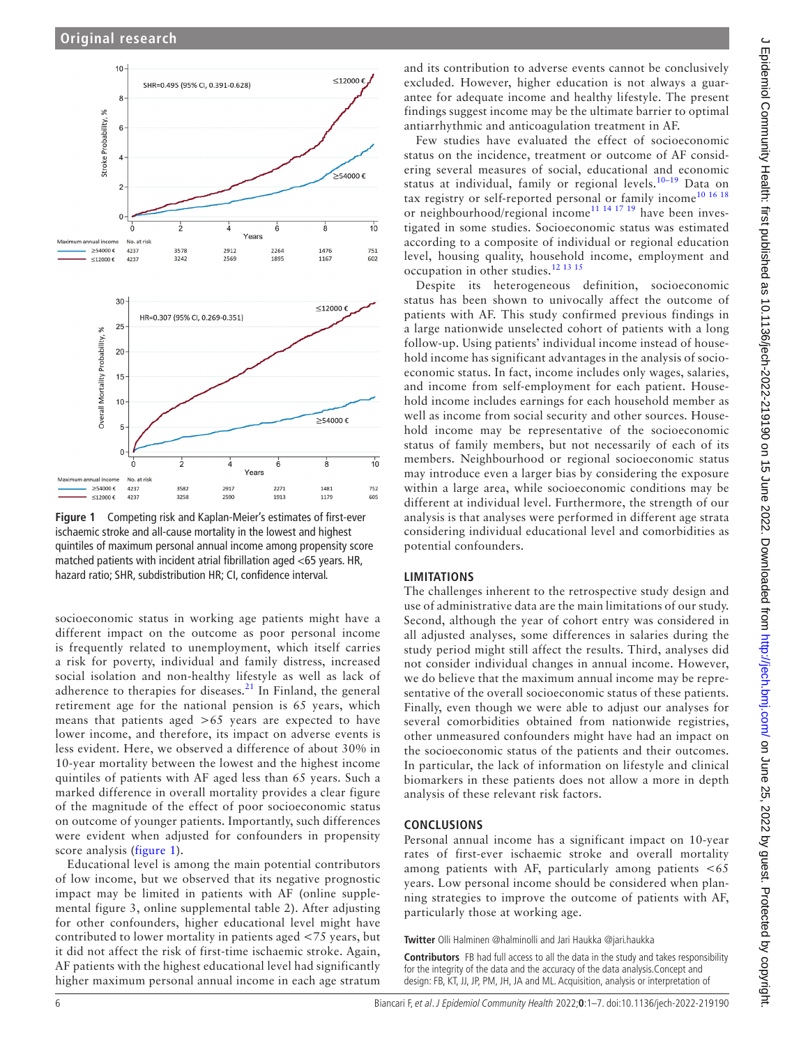

<span id="page-5-0"></span>**Figure 1** Competing risk and Kaplan-Meier's estimates of first-ever ischaemic stroke and all-cause mortality in the lowest and highest quintiles of maximum personal annual income among propensity score matched patients with incident atrial fibrillation aged <65 years. HR, hazard ratio; SHR, subdistribution HR; CI, confidence interval.

socioeconomic status in working age patients might have a different impact on the outcome as poor personal income is frequently related to unemployment, which itself carries a risk for poverty, individual and family distress, increased social isolation and non-healthy lifestyle as well as lack of adherence to therapies for diseases. $^{21}$  In Finland, the general retirement age for the national pension is 65 years, which means that patients aged >65 years are expected to have lower income, and therefore, its impact on adverse events is less evident. Here, we observed a difference of about 30% in 10-year mortality between the lowest and the highest income quintiles of patients with AF aged less than 65 years. Such a marked difference in overall mortality provides a clear figure of the magnitude of the effect of poor socioeconomic status on outcome of younger patients. Importantly, such differences were evident when adjusted for confounders in propensity score analysis [\(figure](#page-5-0) 1).

Educational level is among the main potential contributors of low income, but we observed that its negative prognostic impact may be limited in patients with AF ([online supple](https://dx.doi.org/10.1136/jech-2022-219190)[mental figure 3,](https://dx.doi.org/10.1136/jech-2022-219190) [online supplemental table 2\)](https://dx.doi.org/10.1136/jech-2022-219190). After adjusting for other confounders, higher educational level might have contributed to lower mortality in patients aged <75 years, but it did not affect the risk of first-time ischaemic stroke. Again, AF patients with the highest educational level had significantly higher maximum personal annual income in each age stratum

and its contribution to adverse events cannot be conclusively excluded. However, higher education is not always a guarantee for adequate income and healthy lifestyle. The present findings suggest income may be the ultimate barrier to optimal antiarrhythmic and anticoagulation treatment in AF.

Few studies have evaluated the effect of socioeconomic status on the incidence, treatment or outcome of AF considering several measures of social, educational and economic status at individual, family or regional levels.<sup>10-19</sup> Data on tax registry or self-reported personal or family income<sup>[10 16 18](#page-6-3)</sup> or neighbourhood/regional income<sup>11 14 17 19</sup> have been investigated in some studies. Socioeconomic status was estimated according to a composite of individual or regional education level, housing quality, household income, employment and occupation in other studies.[12 13 15](#page-6-10)

Despite its heterogeneous definition, socioeconomic status has been shown to univocally affect the outcome of patients with AF. This study confirmed previous findings in a large nationwide unselected cohort of patients with a long follow-up. Using patients' individual income instead of household income has significant advantages in the analysis of socioeconomic status. In fact, income includes only wages, salaries, and income from self-employment for each patient. Household income includes earnings for each household member as well as income from social security and other sources. Household income may be representative of the socioeconomic status of family members, but not necessarily of each of its members. Neighbourhood or regional socioeconomic status may introduce even a larger bias by considering the exposure within a large area, while socioeconomic conditions may be different at individual level. Furthermore, the strength of our analysis is that analyses were performed in different age strata considering individual educational level and comorbidities as potential confounders.

## **LIMITATIONS**

The challenges inherent to the retrospective study design and use of administrative data are the main limitations of our study. Second, although the year of cohort entry was considered in all adjusted analyses, some differences in salaries during the study period might still affect the results. Third, analyses did not consider individual changes in annual income. However, we do believe that the maximum annual income may be representative of the overall socioeconomic status of these patients. Finally, even though we were able to adjust our analyses for several comorbidities obtained from nationwide registries, other unmeasured confounders might have had an impact on the socioeconomic status of the patients and their outcomes. In particular, the lack of information on lifestyle and clinical biomarkers in these patients does not allow a more in depth analysis of these relevant risk factors.

## **CONCLUSIONS**

Personal annual income has a significant impact on 10-year rates of first-ever ischaemic stroke and overall mortality among patients with AF, particularly among patients <65 years. Low personal income should be considered when planning strategies to improve the outcome of patients with AF, particularly those at working age.

**Twitter** Olli Halminen [@halminolli](https://twitter.com/halminolli) and Jari Haukka [@jari.haukka](https://twitter.com/jari.haukka)

**Contributors** FB had full access to all the data in the study and takes responsibility for the integrity of the data and the accuracy of the data analysis.Concept and design: FB, KT, JJ, JP, PM, JH, JA and ML. Acquisition, analysis or interpretation of